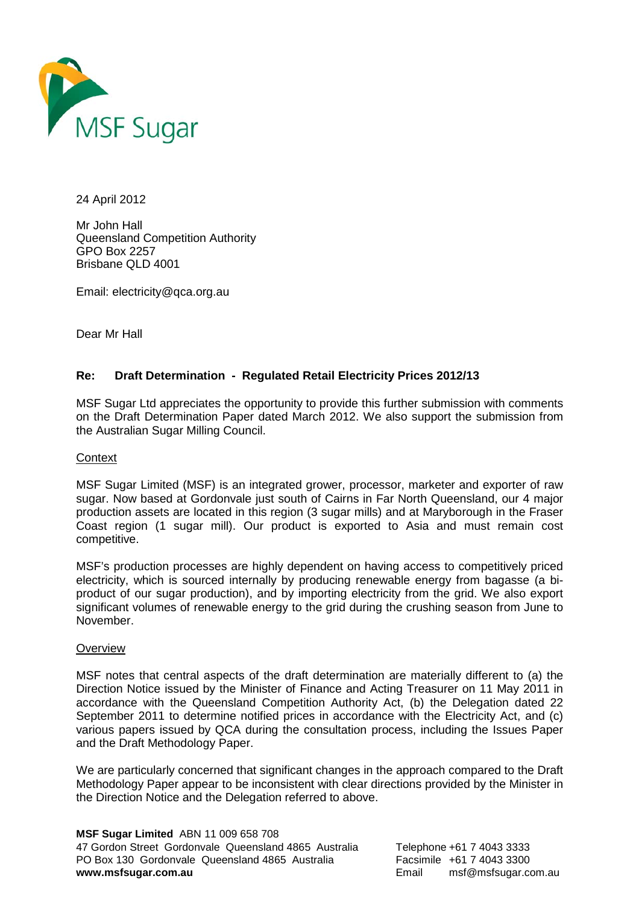

24 April 2012

Mr John Hall Queensland Competition Authority GPO Box 2257 Brisbane QLD 4001

Email: electricity@qca.org.au

Dear Mr Hall

### **Re: Draft Determination - Regulated Retail Electricity Prices 2012/13**

MSF Sugar Ltd appreciates the opportunity to provide this further submission with comments on the Draft Determination Paper dated March 2012. We also support the submission from the Australian Sugar Milling Council.

### **Context**

MSF Sugar Limited (MSF) is an integrated grower, processor, marketer and exporter of raw sugar. Now based at Gordonvale just south of Cairns in Far North Queensland, our 4 major production assets are located in this region (3 sugar mills) and at Maryborough in the Fraser Coast region (1 sugar mill). Our product is exported to Asia and must remain cost competitive.

MSF's production processes are highly dependent on having access to competitively priced electricity, which is sourced internally by producing renewable energy from bagasse (a biproduct of our sugar production), and by importing electricity from the grid. We also export significant volumes of renewable energy to the grid during the crushing season from June to November.

### **Overview**

MSF notes that central aspects of the draft determination are materially different to (a) the Direction Notice issued by the Minister of Finance and Acting Treasurer on 11 May 2011 in accordance with the Queensland Competition Authority Act, (b) the Delegation dated 22 September 2011 to determine notified prices in accordance with the Electricity Act, and (c) various papers issued by QCA during the consultation process, including the Issues Paper and the Draft Methodology Paper.

We are particularly concerned that significant changes in the approach compared to the Draft Methodology Paper appear to be inconsistent with clear directions provided by the Minister in the Direction Notice and the Delegation referred to above.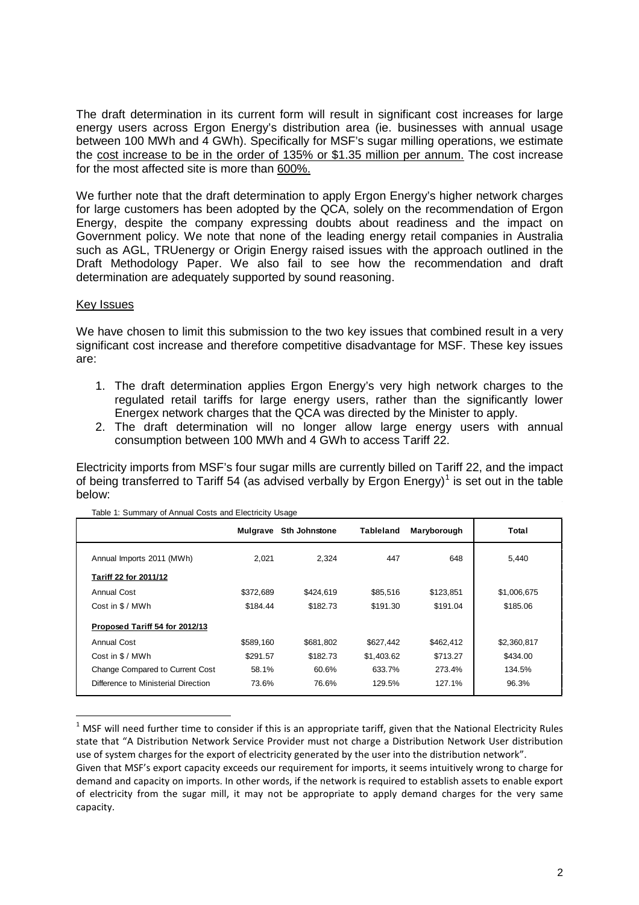The draft determination in its current form will result in significant cost increases for large energy users across Ergon Energy's distribution area (ie. businesses with annual usage between 100 MWh and 4 GWh). Specifically for MSF's sugar milling operations, we estimate the cost increase to be in the order of 135% or \$1.35 million per annum. The cost increase for the most affected site is more than 600%.

We further note that the draft determination to apply Ergon Energy's higher network charges for large customers has been adopted by the QCA, solely on the recommendation of Ergon Energy, despite the company expressing doubts about readiness and the impact on Government policy. We note that none of the leading energy retail companies in Australia such as AGL, TRUenergy or Origin Energy raised issues with the approach outlined in the Draft Methodology Paper. We also fail to see how the recommendation and draft determination are adequately supported by sound reasoning.

### Key Issues

We have chosen to limit this submission to the two key issues that combined result in a very significant cost increase and therefore competitive disadvantage for MSF. These key issues are:

- 1. The draft determination applies Ergon Energy's very high network charges to the regulated retail tariffs for large energy users, rather than the significantly lower Energex network charges that the QCA was directed by the Minister to apply.
- 2. The draft determination will no longer allow large energy users with annual consumption between 100 MWh and 4 GWh to access Tariff 22.

Electricity imports from MSF's four sugar mills are currently billed on Tariff 22, and the impact of being transferred to Tariff 54 (as advised verbally by Ergon Energy)<sup>[1](#page-1-0)</sup> is set out in the table below:

|                                     | Mulgrave  | Sth Johnstone | <b>Tableland</b> | Maryborough | Total       |
|-------------------------------------|-----------|---------------|------------------|-------------|-------------|
| Annual Imports 2011 (MWh)           | 2.021     | 2.324         | 447              | 648         | 5,440       |
| Tariff 22 for 2011/12               |           |               |                  |             |             |
| <b>Annual Cost</b>                  | \$372,689 | \$424.619     | \$85,516         | \$123,851   | \$1,006,675 |
| Cost in \$ / MWh                    | \$184.44  | \$182.73      | \$191.30         | \$191.04    | \$185.06    |
| Proposed Tariff 54 for 2012/13      |           |               |                  |             |             |
| Annual Cost                         | \$589.160 | \$681.802     | \$627,442        | \$462,412   | \$2,360,817 |
| Cost in \$ / MWh                    | \$291.57  | \$182.73      | \$1,403.62       | \$713.27    | \$434.00    |
| Change Compared to Current Cost     | 58.1%     | 60.6%         | 633.7%           | 273.4%      | 134.5%      |
| Difference to Ministerial Direction | 73.6%     | 76.6%         | 129.5%           | 127.1%      | 96.3%       |

| Table 1: Summary of Annual Costs and Electricity Usage |  |
|--------------------------------------------------------|--|
|                                                        |  |

<span id="page-1-0"></span> $1$  MSF will need further time to consider if this is an appropriate tariff, given that the National Electricity Rules state that "A Distribution Network Service Provider must not charge a Distribution Network User distribution use of system charges for the export of electricity generated by the user into the distribution network".

Given that MSF's export capacity exceeds our requirement for imports, it seems intuitively wrong to charge for demand and capacity on imports. In other words, if the network is required to establish assets to enable export of electricity from the sugar mill, it may not be appropriate to apply demand charges for the very same capacity.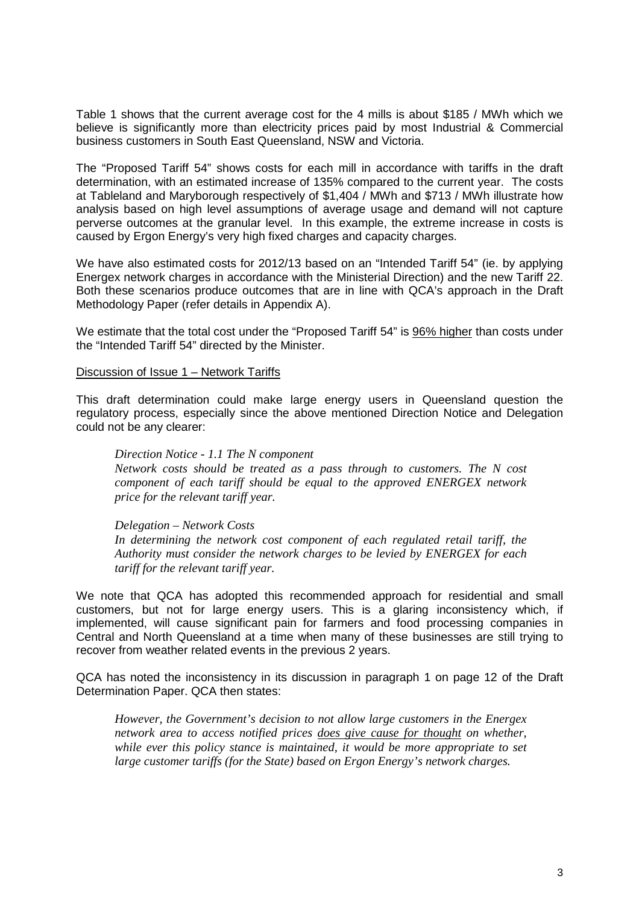Table 1 shows that the current average cost for the 4 mills is about \$185 / MWh which we believe is significantly more than electricity prices paid by most Industrial & Commercial business customers in South East Queensland, NSW and Victoria.

The "Proposed Tariff 54" shows costs for each mill in accordance with tariffs in the draft determination, with an estimated increase of 135% compared to the current year. The costs at Tableland and Maryborough respectively of \$1,404 / MWh and \$713 / MWh illustrate how analysis based on high level assumptions of average usage and demand will not capture perverse outcomes at the granular level. In this example, the extreme increase in costs is caused by Ergon Energy's very high fixed charges and capacity charges.

We have also estimated costs for 2012/13 based on an "Intended Tariff 54" (ie. by applying Energex network charges in accordance with the Ministerial Direction) and the new Tariff 22. Both these scenarios produce outcomes that are in line with QCA's approach in the Draft Methodology Paper (refer details in Appendix A).

We estimate that the total cost under the "Proposed Tariff 54" is 96% higher than costs under the "Intended Tariff 54" directed by the Minister.

### Discussion of Issue 1 – Network Tariffs

This draft determination could make large energy users in Queensland question the regulatory process, especially since the above mentioned Direction Notice and Delegation could not be any clearer:

*Direction Notice - 1.1 The N component Network costs should be treated as a pass through to customers. The N cost component of each tariff should be equal to the approved ENERGEX network price for the relevant tariff year.*

# *Delegation – Network Costs*

*In determining the network cost component of each regulated retail tariff, the Authority must consider the network charges to be levied by ENERGEX for each tariff for the relevant tariff year.*

We note that QCA has adopted this recommended approach for residential and small customers, but not for large energy users. This is a glaring inconsistency which, if implemented, will cause significant pain for farmers and food processing companies in Central and North Queensland at a time when many of these businesses are still trying to recover from weather related events in the previous 2 years.

QCA has noted the inconsistency in its discussion in paragraph 1 on page 12 of the Draft Determination Paper. QCA then states:

*However, the Government's decision to not allow large customers in the Energex network area to access notified prices does give cause for thought on whether, while ever this policy stance is maintained, it would be more appropriate to set large customer tariffs (for the State) based on Ergon Energy's network charges.*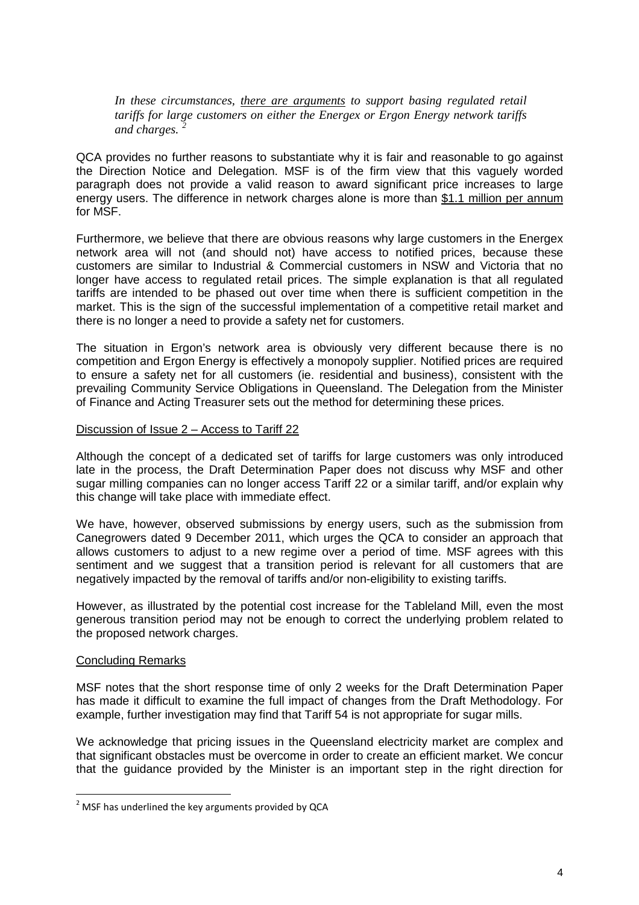*In these circumstances, there are arguments to support basing regulated retail tariffs for large customers on either the Energex or Ergon Energy network tariffs and charges. [2](#page-3-0)*

QCA provides no further reasons to substantiate why it is fair and reasonable to go against the Direction Notice and Delegation. MSF is of the firm view that this vaguely worded paragraph does not provide a valid reason to award significant price increases to large energy users. The difference in network charges alone is more than \$1.1 million per annum for MSF.

Furthermore, we believe that there are obvious reasons why large customers in the Energex network area will not (and should not) have access to notified prices, because these customers are similar to Industrial & Commercial customers in NSW and Victoria that no longer have access to regulated retail prices. The simple explanation is that all regulated tariffs are intended to be phased out over time when there is sufficient competition in the market. This is the sign of the successful implementation of a competitive retail market and there is no longer a need to provide a safety net for customers.

The situation in Ergon's network area is obviously very different because there is no competition and Ergon Energy is effectively a monopoly supplier. Notified prices are required to ensure a safety net for all customers (ie. residential and business), consistent with the prevailing Community Service Obligations in Queensland. The Delegation from the Minister of Finance and Acting Treasurer sets out the method for determining these prices.

### Discussion of Issue 2 – Access to Tariff 22

Although the concept of a dedicated set of tariffs for large customers was only introduced late in the process, the Draft Determination Paper does not discuss why MSF and other sugar milling companies can no longer access Tariff 22 or a similar tariff, and/or explain why this change will take place with immediate effect.

We have, however, observed submissions by energy users, such as the submission from Canegrowers dated 9 December 2011, which urges the QCA to consider an approach that allows customers to adjust to a new regime over a period of time. MSF agrees with this sentiment and we suggest that a transition period is relevant for all customers that are negatively impacted by the removal of tariffs and/or non-eligibility to existing tariffs.

However, as illustrated by the potential cost increase for the Tableland Mill, even the most generous transition period may not be enough to correct the underlying problem related to the proposed network charges.

### Concluding Remarks

MSF notes that the short response time of only 2 weeks for the Draft Determination Paper has made it difficult to examine the full impact of changes from the Draft Methodology. For example, further investigation may find that Tariff 54 is not appropriate for sugar mills.

We acknowledge that pricing issues in the Queensland electricity market are complex and that significant obstacles must be overcome in order to create an efficient market. We concur that the guidance provided by the Minister is an important step in the right direction for

<span id="page-3-0"></span> $2$  MSF has underlined the key arguments provided by QCA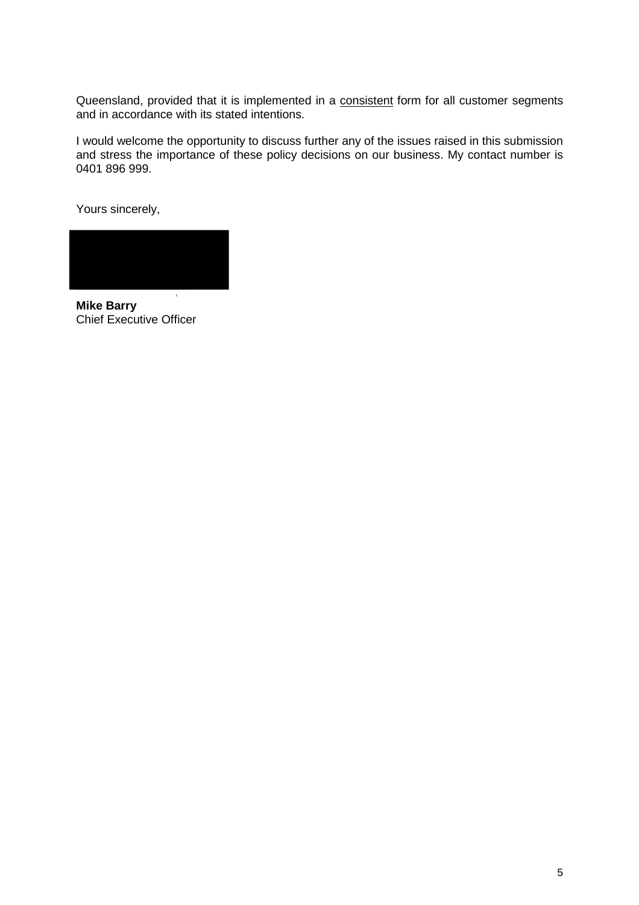Queensland, provided that it is implemented in a consistent form for all customer segments and in accordance with its stated intentions.

I would welcome the opportunity to discuss further any of the issues raised in this submission and stress the importance of these policy decisions on our business. My contact number is 0401 896 999.

Yours sincerely,

**Mike Barry** Chief Executive Officer